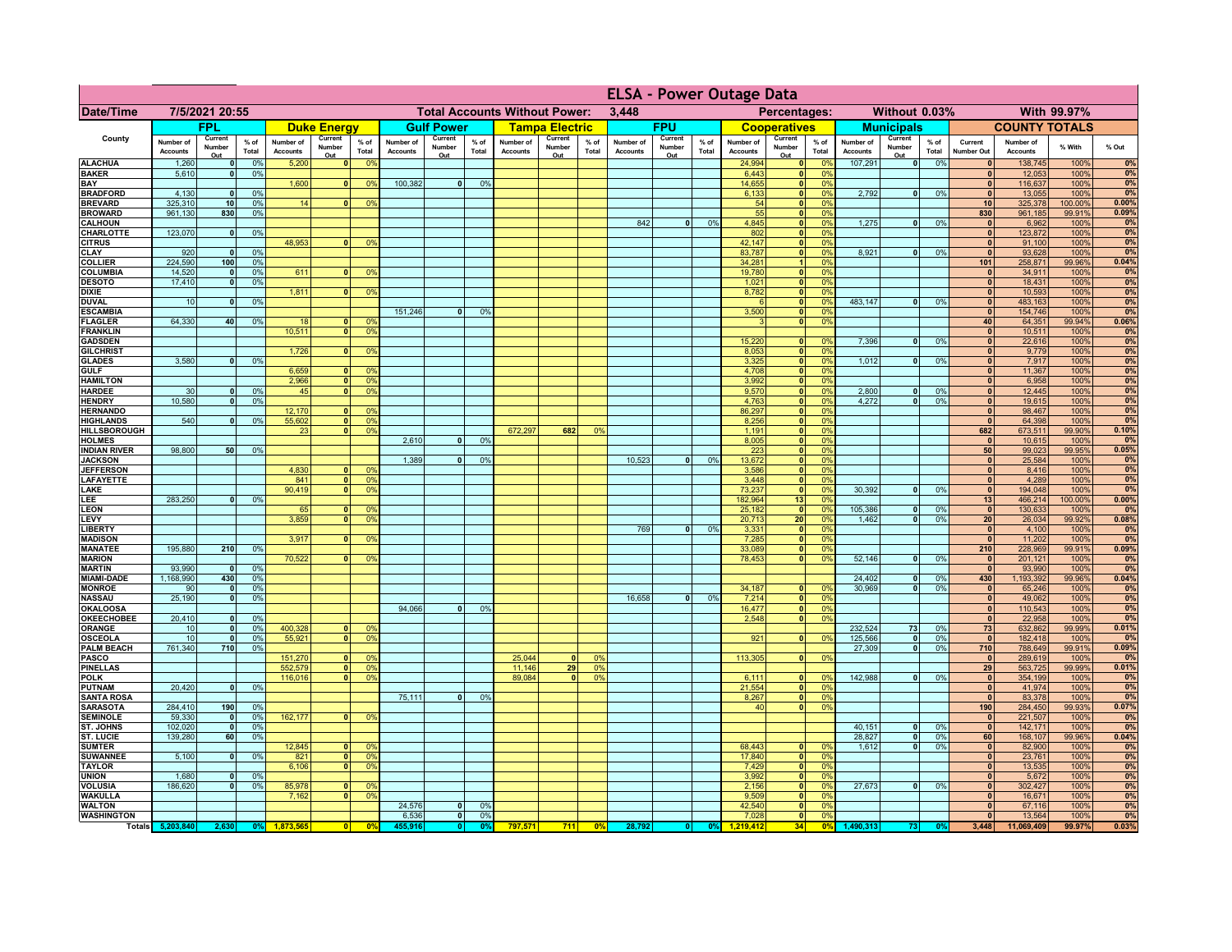|                                      |                              |                          |                 |                              |                                |                                  |                              |                                      |                 |                              |                          |                 | <b>ELSA - Power Outage Data</b> |                          |                 |                              |                          |                                                                |                              |                          |                 |                                 |                              |                |                |
|--------------------------------------|------------------------------|--------------------------|-----------------|------------------------------|--------------------------------|----------------------------------|------------------------------|--------------------------------------|-----------------|------------------------------|--------------------------|-----------------|---------------------------------|--------------------------|-----------------|------------------------------|--------------------------|----------------------------------------------------------------|------------------------------|--------------------------|-----------------|---------------------------------|------------------------------|----------------|----------------|
| <b>Date/Time</b>                     |                              | 7/5/2021 20:55           |                 |                              |                                |                                  |                              | <b>Total Accounts Without Power:</b> |                 |                              |                          |                 | 3.448                           |                          |                 |                              | Percentages:             |                                                                |                              | Without 0.03%            |                 |                                 |                              | With 99.97%    |                |
|                                      |                              | <b>FPL</b>               |                 |                              | <b>Duke Energy</b>             |                                  |                              | <b>Gulf Power</b>                    |                 |                              | <b>Tampa Electric</b>    |                 |                                 | <b>FPU</b>               |                 |                              | <b>Cooperatives</b>      |                                                                |                              | <b>Municipals</b>        |                 |                                 | <b>COUNTY TOTALS</b>         |                |                |
| County                               | Number of<br><b>Accounts</b> | Current<br>Number<br>Out | $%$ of<br>Total | Number of<br><b>Accounts</b> | Current<br>Number<br>Out       | $%$ of<br>Total                  | Number of<br><b>Accounts</b> | Current<br>Number<br>Out             | $%$ of<br>Total | Number of<br><b>Accounts</b> | Current<br>Number<br>Out | $%$ of<br>Total | Number of<br><b>Accounts</b>    | Current<br>Number<br>Out | $%$ of<br>Total | Number of<br><b>Accounts</b> | Current<br>Number<br>Out | $%$ of<br>Total                                                | Number of<br><b>Accounts</b> | Current<br>Number<br>Out | $%$ of<br>Total | Current<br><b>Number Out</b>    | Number of<br><b>Accounts</b> | % With         | % Out          |
| <b>ALACHUA</b>                       | 1,260                        | 0                        | 0%              | 5,200                        | 0                              | 0 <sup>9</sup>                   |                              |                                      |                 |                              |                          |                 |                                 |                          |                 | 24,994                       |                          | 0 <br>0%                                                       | 107,291                      | $\overline{\bullet}$     | 0%              | $\mathbf{0}$                    | 138,745                      | 100%           | 0%             |
| <b>BAKER</b><br><b>BAY</b>           | 5,610                        | 0                        | 0%              | 1,600                        | 0                              | 0 <sup>9</sup>                   | 100,382                      | $\overline{0}$                       | 0%              |                              |                          |                 |                                 |                          |                 | 6,443<br>14,655              | 0                        | 0%<br>0%<br> 0                                                 |                              |                          |                 | $\mathbf{0}$<br> 0              | 12,053<br>116,637            | 100%<br>100%   | 0%<br>0%       |
| <b>BRADFORD</b>                      | 4,130                        | $\mathbf{0}$             | 0%              |                              |                                |                                  |                              |                                      |                 |                              |                          |                 |                                 |                          |                 | 6,133                        |                          | 0 <br>0%                                                       | 2,792                        | 0                        | 0%              | $\Omega$                        | 13,055                       | 100%           | 0%             |
| <b>BREVARD</b>                       | 325,310                      | 10 <sup>1</sup>          | 0%              | 14                           | 0                              | 0 <sup>9</sup>                   |                              |                                      |                 |                              |                          |                 |                                 |                          |                 | 54                           |                          | 0 <br>0%                                                       |                              |                          |                 | 10 <sup>1</sup>                 | 325,378                      | 100.00%        | 0.00%<br>0.09% |
| <b>BROWARD</b><br><b>CALHOUN</b>     | 961,130                      | 830                      | 0%              |                              |                                |                                  |                              |                                      |                 |                              |                          |                 | 842                             | 0                        | 0%              | 55<br>4,845                  | 0                        | 0 <br>0%<br>0%                                                 | 1,275                        | 0                        | 0%              | 830<br> 0                       | 961,185<br>6,962             | 99.91%<br>100% | 0%             |
| <b>CHARLOTTE</b>                     | 123,070                      | $\mathbf 0$              | 0%              |                              |                                |                                  |                              |                                      |                 |                              |                          |                 |                                 |                          |                 | 802                          | 0                        | 0%                                                             |                              |                          |                 | 0                               | 123,872                      | 100%           | 0%             |
| <b>CITRUS</b><br>CLAY                | 920                          | $\mathbf{0}$             | 0%              | 48,953                       | 0                              | 0 <sup>9</sup>                   |                              |                                      |                 |                              |                          |                 |                                 |                          |                 | 42,147<br>83,787             | 0 <br> 0                 | 0%<br>0%                                                       | 8,921                        | - o l                    | 0%              | $\mathbf{0}$<br>$\mathbf{0}$    | 91,100<br>93,628             | 100%<br>100%   | 0%<br>0%       |
| <b>COLLIER</b>                       | 224,590                      | 100                      | 0%              |                              |                                |                                  |                              |                                      |                 |                              |                          |                 |                                 |                          |                 | 34,281                       |                          | 0%                                                             |                              |                          |                 | 101                             | 258,871                      | 99.96%         | 0.04%          |
| COLUMBIA                             | 14,520                       | $\mathbf{0}$             | 0%              | 611                          |                                | 0 <sup>9</sup>                   |                              |                                      |                 |                              |                          |                 |                                 |                          |                 | 19,780                       | 0                        | 0%                                                             |                              |                          |                 |                                 | 34,911                       | 100%           | 0%             |
| <b>DESOTO</b><br><b>DIXIE</b>        | 17,410                       | 0                        | 0%              | 1,811                        | $\mathbf{0}$                   | 0 <sup>9</sup>                   |                              |                                      |                 |                              |                          |                 |                                 |                          |                 | 1,021<br>8,782               | 0 <br> 0                 | 0%<br>0%                                                       |                              |                          |                 | $\mathbf{0}$<br>$\mathbf{0}$    | 18,431<br>10,593             | 100%<br>100%   | 0%<br>0%       |
| <b>DUVAL</b>                         | 10                           | $\mathbf 0$              | 0%              |                              |                                |                                  |                              |                                      |                 |                              |                          |                 |                                 |                          |                 |                              | 0                        | 0%                                                             | 483,147                      | 0                        | 0%              | $\mathbf{0}$                    | 483,163                      | 100%           | 0%             |
| <b>ESCAMBIA</b>                      |                              |                          |                 |                              |                                |                                  | 151,246                      | 0                                    | 0 <sup>9</sup>  |                              |                          |                 |                                 |                          |                 | 3,500                        | 0                        | 0%                                                             |                              |                          |                 | $\mathbf{0}$                    | 154,746                      | 100%           | 0%             |
| <b>FLAGLER</b><br><b>FRANKLIN</b>    | 64,330                       | 40                       | 0%              | 18<br>10,511                 | $\mathbf{0}$<br>$\overline{0}$ | 0 <sup>9</sup><br>0 <sup>9</sup> |                              |                                      |                 |                              |                          |                 |                                 |                          |                 |                              | 0                        | 0%                                                             |                              |                          |                 | 40<br> 0                        | 64,351<br>10,511             | 99.94%<br>100% | 0.06%<br>0%    |
| <b>GADSDEN</b>                       |                              |                          |                 |                              |                                |                                  |                              |                                      |                 |                              |                          |                 |                                 |                          |                 | 15,220                       | 0                        | 0%                                                             | 7,396                        | - o l                    | 0%              | 0                               | 22,616                       | 100%           | 0%             |
| <b>GILCHRIST</b>                     |                              |                          |                 | 1.726                        | 0                              | 0 <sup>9</sup>                   |                              |                                      |                 |                              |                          |                 |                                 |                          |                 | 8,053                        | 0                        | 0%                                                             |                              |                          |                 | $\overline{0}$                  | 9,779                        | 100%           | 0%             |
| <b>GLADES</b><br><b>GULF</b>         | 3,580                        | 0                        | 0%              | 6,659                        | 0                              | 0 <sup>9</sup>                   |                              |                                      |                 |                              |                          |                 |                                 |                          |                 | 3,325<br>4,708               | 0 <br> 0                 | 0%<br>0%                                                       | 1,012                        | $\overline{0}$           | 0%              | 0 <br> 0                        | 7,917<br>11,367              | 100%<br>100%   | 0%<br>0%       |
| <b>HAMILTON</b>                      |                              |                          |                 | 2.966                        | $\overline{0}$                 | 0 <sup>9</sup>                   |                              |                                      |                 |                              |                          |                 |                                 |                          |                 | 3,992                        | 0                        | 0%                                                             |                              |                          |                 | 0                               | 6,958                        | 100%           | 0%             |
| <b>HARDEE</b>                        | 30                           | 0                        | 0%              | 45                           | $\overline{0}$                 | 0 <sup>9</sup>                   |                              |                                      |                 |                              |                          |                 |                                 |                          |                 | 9,570                        |                          | $\overline{\mathbf{0}}$<br>0%                                  | 2,800                        | 0                        | 0%              | 0                               | 12,445                       | 100%           | 0%             |
| <b>HENDRY</b><br><b>HERNANDO</b>     | 10,580                       | 0                        | 0 <sup>9</sup>  | 12,170                       | $\mathbf{0}$                   | 0 <sup>9</sup>                   |                              |                                      |                 |                              |                          |                 |                                 |                          |                 | 4,763<br>86,297              |                          | $\overline{\mathbf{0}}$<br>0%<br>$\overline{\mathbf{0}}$<br>0% | 4.272                        | $\overline{0}$           | 0%              | 0 <br> 0                        | 19,615<br>98,467             | 100%<br>100%   | 0%<br>0%       |
| <b>HIGHLANDS</b>                     | 540                          | 0                        | 0 <sup>9</sup>  | 55,602                       | $\overline{0}$                 | 0 <sup>9</sup>                   |                              |                                      |                 |                              |                          |                 |                                 |                          |                 | 8,256                        |                          | $\overline{\mathbf{0}}$<br>0%                                  |                              |                          |                 | $\overline{0}$                  | 64,398                       | 100%           | 0%             |
| <b>HILLSBOROUGH</b>                  |                              |                          |                 | 23                           | 0 <sup>1</sup>                 | 0 <sup>9</sup>                   |                              |                                      |                 | 672,297                      | 682                      | 0%              |                                 |                          |                 | 1,191                        |                          | 0 <br>0%                                                       |                              |                          |                 | 682                             | 673,511                      | 99.90%         | 0.10%          |
| <b>HOLMES</b><br><b>INDIAN RIVER</b> | 98,800                       | 50                       | 0%              |                              |                                |                                  | 2,610                        | $\Omega$                             | 0 <sup>9</sup>  |                              |                          |                 |                                 |                          |                 | 8,005<br>223                 |                          | $\overline{\mathbf{0}}$<br>0%<br> 0 <br>0%                     |                              |                          |                 | $\mathbf{0}$<br>50 <sub>1</sub> | 10,615<br>99,023             | 100%<br>99.95% | 0%<br>0.05%    |
| <b>JACKSON</b>                       |                              |                          |                 |                              |                                |                                  | 1,389                        | n l                                  | 0 <sup>9</sup>  |                              |                          |                 | 10,523                          | $\Omega$                 | 0%              | 13,672                       |                          | 0 <br>0%                                                       |                              |                          |                 | 0                               | 25,584                       | 100%           | 0%             |
| <b>JEFFERSON</b>                     |                              |                          |                 | 4,830                        | $\Omega$                       | 0 <sup>9</sup>                   |                              |                                      |                 |                              |                          |                 |                                 |                          |                 | 3,586                        |                          | 0 <br>0%                                                       |                              |                          |                 | 0                               | 8,416                        | 100%           | 0%             |
| LAFAYETTE<br>LAKE                    |                              |                          |                 | 841<br>90,419                | $\mathbf{0}$<br> 0             | 0 <sup>9</sup><br>0 <sup>9</sup> |                              |                                      |                 |                              |                          |                 |                                 |                          |                 | 3,448<br>73,237              | 0                        | 0 <br>0%<br>0%                                                 | 30,392                       | $\mathbf{0}$             | 0%              | 0 <br> 0                        | 4,289<br>194,048             | 100%<br>100%   | 0%<br>0%       |
| LEE                                  | 283,250                      | $\Omega$                 | 0%              |                              |                                |                                  |                              |                                      |                 |                              |                          |                 |                                 |                          |                 | 182,964                      | 13                       | 0%                                                             |                              |                          |                 | 13                              | 466,214                      | 100.00%        | 0.00%          |
| <b>LEON</b>                          |                              |                          |                 | 65                           | $\Omega$                       | $^{\circ}$                       |                              |                                      |                 |                              |                          |                 |                                 |                          |                 | 25,182                       |                          | 0 <br>0%                                                       | 105,386                      | - O I                    | 0%              | 0                               | 130,633                      | 100%           | 0%             |
| LEVY<br>LIBERTY                      |                              |                          |                 | 3,859                        | 0                              | 0 <sup>9</sup>                   |                              |                                      |                 |                              |                          |                 | 769                             | $\mathbf{0}$             | 0%              | 20,713<br>3,331              | 20                       | 0%<br> 0 <br>0%                                                | 1,462                        | - O I                    | 0%              | 20 <sub>1</sub><br> 0           | 26,034<br>4,100              | 99.92%<br>100% | 0.08%<br>0%    |
| <b>MADISON</b>                       |                              |                          |                 | 3,917                        | $\Omega$                       | 0 <sup>9</sup>                   |                              |                                      |                 |                              |                          |                 |                                 |                          |                 | 7,285                        |                          | 0%<br> 0                                                       |                              |                          |                 | 0                               | 11,202                       | 100%           | 0%             |
| <b>MANATEE</b><br><b>MARION</b>      | 195,880                      | 210                      | 0%              | 70,522                       | 0                              |                                  |                              |                                      |                 |                              |                          |                 |                                 |                          |                 | 33,089<br>78,453             |                          | 0%<br> 0 <br>0%<br> 0                                          | 52,146                       | ol                       |                 | 210                             | 228,969                      | 99.91%         | 0.09%<br>0%    |
| <b>MARTIN</b>                        | 93,990                       | $\mathbf{0}$             | 0%              |                              |                                | 0 <sup>9</sup>                   |                              |                                      |                 |                              |                          |                 |                                 |                          |                 |                              |                          |                                                                |                              |                          | 0%              | 0 <br> 0                        | 201,121<br>93,990            | 100%<br>100%   | 0%             |
| <b>MIAMI-DADE</b>                    | 1,168,990                    | 430                      | 0%              |                              |                                |                                  |                              |                                      |                 |                              |                          |                 |                                 |                          |                 |                              |                          |                                                                | 24,402                       | $\overline{\mathbf{0}}$  | 0%              | 430                             | 1,193,392                    | 99.96%         | 0.04%          |
| <b>MONROE</b>                        | 90<br>25,190                 | 0                        | 0%<br>0%        |                              |                                |                                  |                              |                                      |                 |                              |                          |                 | 16,658                          |                          | 0%              | 34,187<br>7,214              | 0                        | $\Omega$ %<br>0%<br> 0                                         | 30.969                       | - O I                    | 0%              | 0                               | 65,246<br>49,062             | 100%<br>100%   | 0%<br>0%       |
| <b>NASSAU</b><br><b>OKALOOSA</b>     |                              | 0                        |                 |                              |                                |                                  | 94,066                       | 0                                    | 0%              |                              |                          |                 |                                 | 0                        |                 | 16,477                       |                          | 0%<br> 0                                                       |                              |                          |                 | 0 <br> 0                        | 110,543                      | 100%           | 0%             |
| <b>OKEECHOBEE</b>                    | 20,410                       | 0                        | 0%              |                              |                                |                                  |                              |                                      |                 |                              |                          |                 |                                 |                          |                 | 2,548                        |                          | 0%<br> 0                                                       |                              |                          |                 | 0                               | 22,958                       | 100%           | 0%             |
| ORANGE<br>OSCEOLA                    | 10<br>10                     | 0 <br> 0                 | 0%<br>0%        | 400,328<br>55,92'            | 0 <br> 0                       | 0 <sup>9</sup><br>0 <sup>9</sup> |                              |                                      |                 |                              |                          |                 |                                 |                          |                 | 921                          |                          | 0 <br>0%                                                       | 232,524<br>125,566           | 73<br>$\mathbf{0}$       | 0%<br>0%        | 73<br> 0                        | 632,862<br>182,418           | 99.99%<br>100% | 0.01%<br>0%    |
| <b>PALM BEACH</b>                    | 761,340                      | 710                      | 0%              |                              |                                |                                  |                              |                                      |                 |                              |                          |                 |                                 |                          |                 |                              |                          |                                                                | 27,309                       | $\lceil 0 \rceil$        | 0%              | 710                             | 788,649                      | 99.91%         | 0.09%          |
| <b>PASCO</b>                         |                              |                          |                 | 151,270                      | 0                              | 0 <sup>9</sup>                   |                              |                                      |                 | 25,044                       | $\Omega$                 | 0 <sup>9</sup>  |                                 |                          |                 | 113,305                      |                          | 0 <br>0%                                                       |                              |                          |                 | 0                               | 289,619                      | 100%           | 0%             |
| <b>PINELLAS</b><br><b>POLK</b>       |                              |                          |                 | 552,579<br>116,016           | 0 <br>$\overline{0}$           | 0 <sup>9</sup><br>0 <sup>9</sup> |                              |                                      |                 | 11,146<br>89,084             | 29<br>$\Omega$           | 0%<br>0%        |                                 |                          |                 | 6,111                        |                          | 0 <br>nº                                                       | 142,988                      | 0                        | 0%              | 29<br> 0                        | 563,725<br>354,199           | 99.99%<br>100% | 0.01%<br>0%    |
| PUTNAM                               | 20,420                       | 0                        | 0%              |                              |                                |                                  |                              |                                      |                 |                              |                          |                 |                                 |                          |                 | 21,554                       |                          | 0 <br>0%                                                       |                              |                          |                 | 0                               | 41,974                       | 100%           | 0%             |
| <b>SANTA ROSA</b>                    |                              |                          |                 |                              |                                |                                  | 75,111                       | 0                                    | 0%              |                              |                          |                 |                                 |                          |                 | 8,267                        |                          | 0 <br>0%                                                       |                              |                          |                 | $\mathbf{0}$                    | 83,378                       | 100%           | 0%             |
| <b>SARASOTA</b><br><b>SEMINOLE</b>   | 284,410<br>59,330            | 190<br>$\mathbf{0}$      | 0%<br>0%        | 162,177                      | $\Omega$                       | 0 <sup>9</sup>                   |                              |                                      |                 |                              |                          |                 |                                 |                          |                 | 40                           |                          | 0 <br>0%                                                       |                              |                          |                 | 190<br> 0                       | 284,450<br>221,507           | 99.93%<br>100% | 0.07%<br>0%    |
| ST. JOHNS                            | 102,020                      | $\mathbf{0}$             | 0%              |                              |                                |                                  |                              |                                      |                 |                              |                          |                 |                                 |                          |                 |                              |                          |                                                                | 40,151                       | 0                        | 0%              | 0                               | 142,171                      | 100%           | 0%             |
| <b>ST. LUCIE</b>                     | 139,280                      | 60                       | 0%              |                              |                                |                                  |                              |                                      |                 |                              |                          |                 |                                 |                          |                 |                              |                          |                                                                | 28,827                       | 0                        | 0%              | 60                              | 168,107                      | 99.96%         | 0.04%          |
| <b>SUMTER</b><br><b>SUWANNEE</b>     | 5,100                        | $\overline{0}$           | 0%              | 12,845<br>821                | $\mathbf{0}$                   | $\Omega$<br>0 <sup>9</sup>       |                              |                                      |                 |                              |                          |                 |                                 |                          |                 | 68,443<br>17,840             | 0 <br> 0                 | 0 <sup>9</sup><br>0%                                           | 1,612                        | -ol                      | 0%              | $\mathbf{0}$<br> 0              | 82,900<br>23,761             | 100%<br>100%   | 0%<br>0%       |
| <b>TAYLOR</b>                        |                              |                          |                 | 6,106                        | $\mathbf{0}$                   | 0 <sup>9</sup>                   |                              |                                      |                 |                              |                          |                 |                                 |                          |                 | 7,429                        | 0                        | 0%                                                             |                              |                          |                 | $\mathbf{0}$                    | 13,535                       | 100%           | 0%             |
| <b>UNION</b>                         | 1,680                        | 0                        | 0 <sup>9</sup>  |                              |                                |                                  |                              |                                      |                 |                              |                          |                 |                                 |                          |                 | 3,992                        | 0                        | 0%                                                             |                              |                          |                 | $\mathbf{0}$                    | 5,672                        | 100%           | 0%             |
| <b>VOLUSIA</b><br><b>WAKULLA</b>     | 186,620                      | 0                        | 0%              | 85,978<br>7,162              | $\mathbf{0}$<br>$\mathbf{0}$   | 0 <sup>9</sup><br>0 <sup>9</sup> |                              |                                      |                 |                              |                          |                 |                                 |                          |                 | 2,156<br>9,509               | 0 <br> 0                 | 0%<br>0%                                                       | 27,673                       | 0                        | 0%              | $\mathbf{0}$<br>$\mathbf{0}$    | 302,427<br>16,671            | 100%<br>100%   | 0%<br>0%       |
| <b>WALTON</b>                        |                              |                          |                 |                              |                                |                                  | 24,576                       | 0                                    | 0 <sup>9</sup>  |                              |                          |                 |                                 |                          |                 | 42,540                       | 0                        | 0%                                                             |                              |                          |                 | $\mathbf{0}$                    | 67,116                       | 100%           | 0%             |
| <b>WASHINGTON</b>                    |                              |                          |                 |                              |                                |                                  | 6,536                        | $\overline{\mathbf{0}}$              | 0%              |                              |                          |                 |                                 |                          |                 | 7,028                        | 0                        | 0%                                                             |                              |                          |                 | 0                               | 13,564                       | 100%           | 0%             |
|                                      | Totals 5,203,840             | 2,630                    | 0 <sup>9</sup>  | 1.873.565                    | $\mathbf{0}$                   | 0 <sup>0</sup>                   | 455.916                      | 0                                    | 0%              | 797,571                      | 711                      | 0%              | 28,792                          | 0                        | 0%              | 219.412                      | 34                       | 0%                                                             | 1,490,313                    | 73                       | 0%              | 3,448                           | 11,069,409                   | 99.97%         | 0.03%          |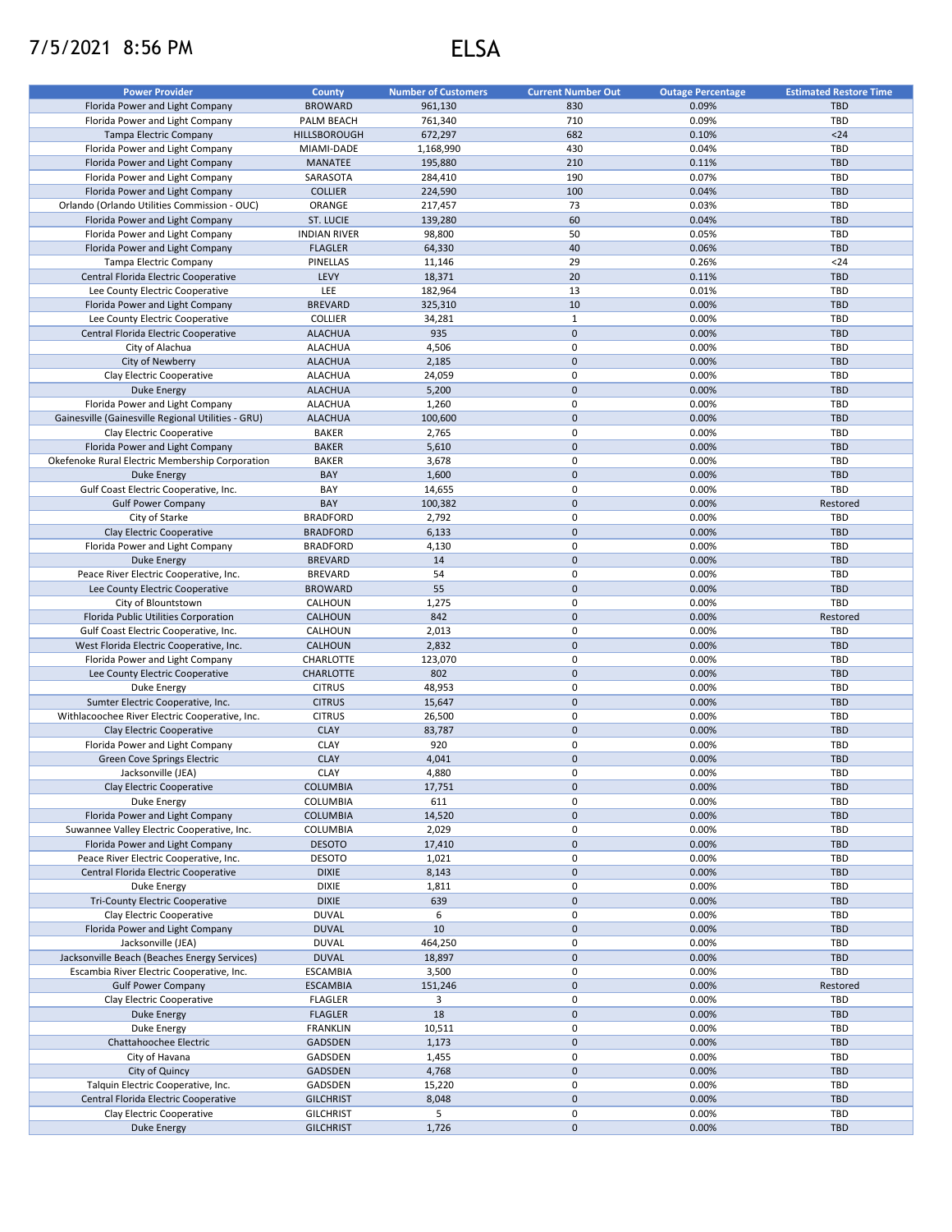## 7/5/2021 8:56 PM ELSA

| <b>Power Provider</b>                              | <b>County</b>       | <b>Number of Customers</b> | <b>Current Number Out</b> | <b>Outage Percentage</b> | <b>Estimated Restore Time</b> |
|----------------------------------------------------|---------------------|----------------------------|---------------------------|--------------------------|-------------------------------|
| Florida Power and Light Company                    | <b>BROWARD</b>      | 961,130                    | 830                       | 0.09%                    | <b>TBD</b>                    |
| Florida Power and Light Company                    | PALM BEACH          | 761,340                    | 710                       | 0.09%                    | TBD                           |
| Tampa Electric Company                             | HILLSBOROUGH        | 672,297                    | 682                       | 0.10%                    | $24$                          |
| Florida Power and Light Company                    | MIAMI-DADE          | 1,168,990                  | 430                       | 0.04%                    | TBD                           |
| Florida Power and Light Company                    | <b>MANATEE</b>      | 195,880                    | 210                       | 0.11%                    | <b>TBD</b>                    |
| Florida Power and Light Company                    | SARASOTA            | 284,410                    | 190                       | 0.07%                    | <b>TBD</b>                    |
| Florida Power and Light Company                    | <b>COLLIER</b>      | 224,590                    | 100                       | 0.04%                    | <b>TBD</b>                    |
| Orlando (Orlando Utilities Commission - OUC)       | ORANGE              | 217,457                    | 73                        | 0.03%                    | <b>TBD</b>                    |
| Florida Power and Light Company                    | ST. LUCIE           | 139,280                    | 60                        | 0.04%                    | <b>TBD</b>                    |
| Florida Power and Light Company                    | <b>INDIAN RIVER</b> | 98,800                     | 50                        | 0.05%                    | <b>TBD</b>                    |
| Florida Power and Light Company                    | <b>FLAGLER</b>      | 64,330                     | 40                        | 0.06%                    | <b>TBD</b>                    |
| Tampa Electric Company                             | PINELLAS            | 11,146                     | 29                        | 0.26%                    | $24$                          |
| Central Florida Electric Cooperative               | LEVY                | 18,371                     | 20                        | 0.11%                    | <b>TBD</b>                    |
|                                                    |                     |                            |                           |                          |                               |
| Lee County Electric Cooperative                    | LEE                 | 182,964                    | 13                        | 0.01%                    | TBD                           |
| Florida Power and Light Company                    | <b>BREVARD</b>      | 325,310                    | 10                        | 0.00%                    | <b>TBD</b>                    |
| Lee County Electric Cooperative                    | COLLIER             | 34,281                     | $\mathbf{1}$              | 0.00%                    | TBD                           |
| Central Florida Electric Cooperative               | <b>ALACHUA</b>      | 935                        | $\mathbf 0$               | 0.00%                    | <b>TBD</b>                    |
| City of Alachua                                    | <b>ALACHUA</b>      | 4,506                      | 0                         | 0.00%                    | <b>TBD</b>                    |
| City of Newberry                                   | <b>ALACHUA</b>      | 2,185                      | $\mathbf 0$               | 0.00%                    | <b>TBD</b>                    |
| Clay Electric Cooperative                          | <b>ALACHUA</b>      | 24,059                     | 0                         | 0.00%                    | TBD                           |
| <b>Duke Energy</b>                                 | <b>ALACHUA</b>      | 5,200                      | $\mathbf 0$               | 0.00%                    | <b>TBD</b>                    |
| Florida Power and Light Company                    | <b>ALACHUA</b>      | 1,260                      | 0                         | 0.00%                    | TBD                           |
| Gainesville (Gainesville Regional Utilities - GRU) | <b>ALACHUA</b>      | 100,600                    | $\mathbf 0$               | 0.00%                    | <b>TBD</b>                    |
| Clay Electric Cooperative                          | <b>BAKER</b>        | 2,765                      | 0                         | 0.00%                    | <b>TBD</b>                    |
| Florida Power and Light Company                    | <b>BAKER</b>        | 5,610                      | $\mathbf{0}$              | 0.00%                    | <b>TBD</b>                    |
| Okefenoke Rural Electric Membership Corporation    | <b>BAKER</b>        | 3,678                      | 0                         | 0.00%                    | TBD                           |
| <b>Duke Energy</b>                                 | BAY                 | 1,600                      | $\pmb{0}$                 | 0.00%                    | <b>TBD</b>                    |
| Gulf Coast Electric Cooperative, Inc.              | BAY                 | 14,655                     | 0                         | 0.00%                    | TBD                           |
| <b>Gulf Power Company</b>                          | BAY                 | 100,382                    | $\mathbf 0$               | 0.00%                    | Restored                      |
| City of Starke                                     | <b>BRADFORD</b>     | 2,792                      | 0                         | 0.00%                    | <b>TBD</b>                    |
| Clay Electric Cooperative                          | <b>BRADFORD</b>     | 6,133                      | $\mathbf 0$               | 0.00%                    | <b>TBD</b>                    |
| Florida Power and Light Company                    | <b>BRADFORD</b>     | 4,130                      | 0                         | 0.00%                    | <b>TBD</b>                    |
| <b>Duke Energy</b>                                 | <b>BREVARD</b>      | 14                         | $\pmb{0}$                 | 0.00%                    | <b>TBD</b>                    |
| Peace River Electric Cooperative, Inc.             | <b>BREVARD</b>      | 54                         | 0                         | 0.00%                    | <b>TBD</b>                    |
| Lee County Electric Cooperative                    | <b>BROWARD</b>      | 55                         | $\mathbf 0$               | 0.00%                    | <b>TBD</b>                    |
| City of Blountstown                                | CALHOUN             | 1,275                      | $\mathbf 0$               | 0.00%                    | <b>TBD</b>                    |
| Florida Public Utilities Corporation               | CALHOUN             | 842                        | $\mathbf 0$               | 0.00%                    | Restored                      |
|                                                    |                     | 2,013                      | 0                         | 0.00%                    | TBD                           |
| Gulf Coast Electric Cooperative, Inc.              | CALHOUN             |                            |                           |                          |                               |
| West Florida Electric Cooperative, Inc.            | CALHOUN             | 2,832                      | $\mathbf 0$               | 0.00%                    | <b>TBD</b>                    |
| Florida Power and Light Company                    | CHARLOTTE           | 123,070                    | 0                         | 0.00%                    | <b>TBD</b>                    |
| Lee County Electric Cooperative                    | CHARLOTTE           | 802                        | $\mathbf 0$               | 0.00%                    | <b>TBD</b>                    |
| Duke Energy                                        | <b>CITRUS</b>       | 48,953                     | 0                         | 0.00%                    | <b>TBD</b>                    |
| Sumter Electric Cooperative, Inc.                  | <b>CITRUS</b>       | 15,647                     | $\mathbf 0$               | 0.00%                    | <b>TBD</b>                    |
| Withlacoochee River Electric Cooperative, Inc.     | <b>CITRUS</b>       | 26,500                     | 0                         | 0.00%                    | TBD                           |
| Clay Electric Cooperative                          | <b>CLAY</b>         | 83,787                     | $\mathbf 0$               | 0.00%                    | <b>TBD</b>                    |
| Florida Power and Light Company                    | <b>CLAY</b>         | 920                        | 0                         | 0.00%                    | <b>TBD</b>                    |
| <b>Green Cove Springs Electric</b>                 | <b>CLAY</b>         | 4,041                      | $\pmb{0}$                 | 0.00%                    | <b>TBD</b>                    |
| Jacksonville (JEA)                                 | <b>CLAY</b>         | 4,880                      | 0                         | 0.00%                    | TBD                           |
| Clay Electric Cooperative                          | <b>COLUMBIA</b>     | 17,751                     | $\mathbf 0$               | 0.00%                    | <b>TBD</b>                    |
| Duke Energy                                        | COLUMBIA            | 611                        | 0                         | 0.00%                    | TBD                           |
| Florida Power and Light Company                    | <b>COLUMBIA</b>     | 14,520                     | $\mathbf 0$               | 0.00%                    | <b>TBD</b>                    |
| Suwannee Valley Electric Cooperative, Inc.         | COLUMBIA            | 2,029                      | $\pmb{0}$                 | 0.00%                    | TBD                           |
| Florida Power and Light Company                    | <b>DESOTO</b>       | 17,410                     | $\pmb{0}$                 | 0.00%                    | <b>TBD</b>                    |
| Peace River Electric Cooperative, Inc.             | <b>DESOTO</b>       | 1,021                      | $\pmb{0}$                 | 0.00%                    | TBD                           |
| Central Florida Electric Cooperative               | <b>DIXIE</b>        | 8,143                      | $\mathbf 0$               | 0.00%                    | <b>TBD</b>                    |
| Duke Energy                                        | <b>DIXIE</b>        | 1,811                      | 0                         | 0.00%                    | TBD                           |
| <b>Tri-County Electric Cooperative</b>             | <b>DIXIE</b>        | 639                        | $\mathbf 0$               | 0.00%                    | <b>TBD</b>                    |
| Clay Electric Cooperative                          | <b>DUVAL</b>        | 6                          | 0                         | 0.00%                    | TBD                           |
| Florida Power and Light Company                    | <b>DUVAL</b>        | 10                         | $\mathbf 0$               | 0.00%                    | <b>TBD</b>                    |
| Jacksonville (JEA)                                 | <b>DUVAL</b>        | 464,250                    | 0                         | 0.00%                    | TBD                           |
| Jacksonville Beach (Beaches Energy Services)       | <b>DUVAL</b>        | 18,897                     | $\mathbf 0$               | 0.00%                    | <b>TBD</b>                    |
| Escambia River Electric Cooperative, Inc.          | <b>ESCAMBIA</b>     | 3,500                      | 0                         | 0.00%                    | TBD                           |
| <b>Gulf Power Company</b>                          | <b>ESCAMBIA</b>     | 151,246                    | $\mathbf 0$               | 0.00%                    | Restored                      |
| Clay Electric Cooperative                          | <b>FLAGLER</b>      | 3                          | 0                         | 0.00%                    | TBD                           |
|                                                    |                     |                            | $\mathbf 0$               |                          | <b>TBD</b>                    |
| <b>Duke Energy</b>                                 | <b>FLAGLER</b>      | 18                         |                           | 0.00%                    |                               |
| Duke Energy                                        | <b>FRANKLIN</b>     | 10,511                     | $\pmb{0}$                 | 0.00%                    | TBD                           |
| Chattahoochee Electric                             | <b>GADSDEN</b>      | 1,173                      | $\mathbf 0$               | 0.00%                    | TBD                           |
| City of Havana                                     | GADSDEN             | 1,455                      | 0                         | 0.00%                    | TBD                           |
| City of Quincy                                     | GADSDEN             | 4,768                      | $\mathbf 0$               | 0.00%                    | <b>TBD</b>                    |
| Talquin Electric Cooperative, Inc.                 | GADSDEN             | 15,220                     | 0                         | 0.00%                    | TBD                           |
| Central Florida Electric Cooperative               | <b>GILCHRIST</b>    | 8,048                      | $\mathbf 0$               | 0.00%                    | <b>TBD</b>                    |
| Clay Electric Cooperative                          | <b>GILCHRIST</b>    | 5                          | 0                         | 0.00%                    | TBD                           |
| <b>Duke Energy</b>                                 | <b>GILCHRIST</b>    | 1,726                      | $\pmb{0}$                 | 0.00%                    | <b>TBD</b>                    |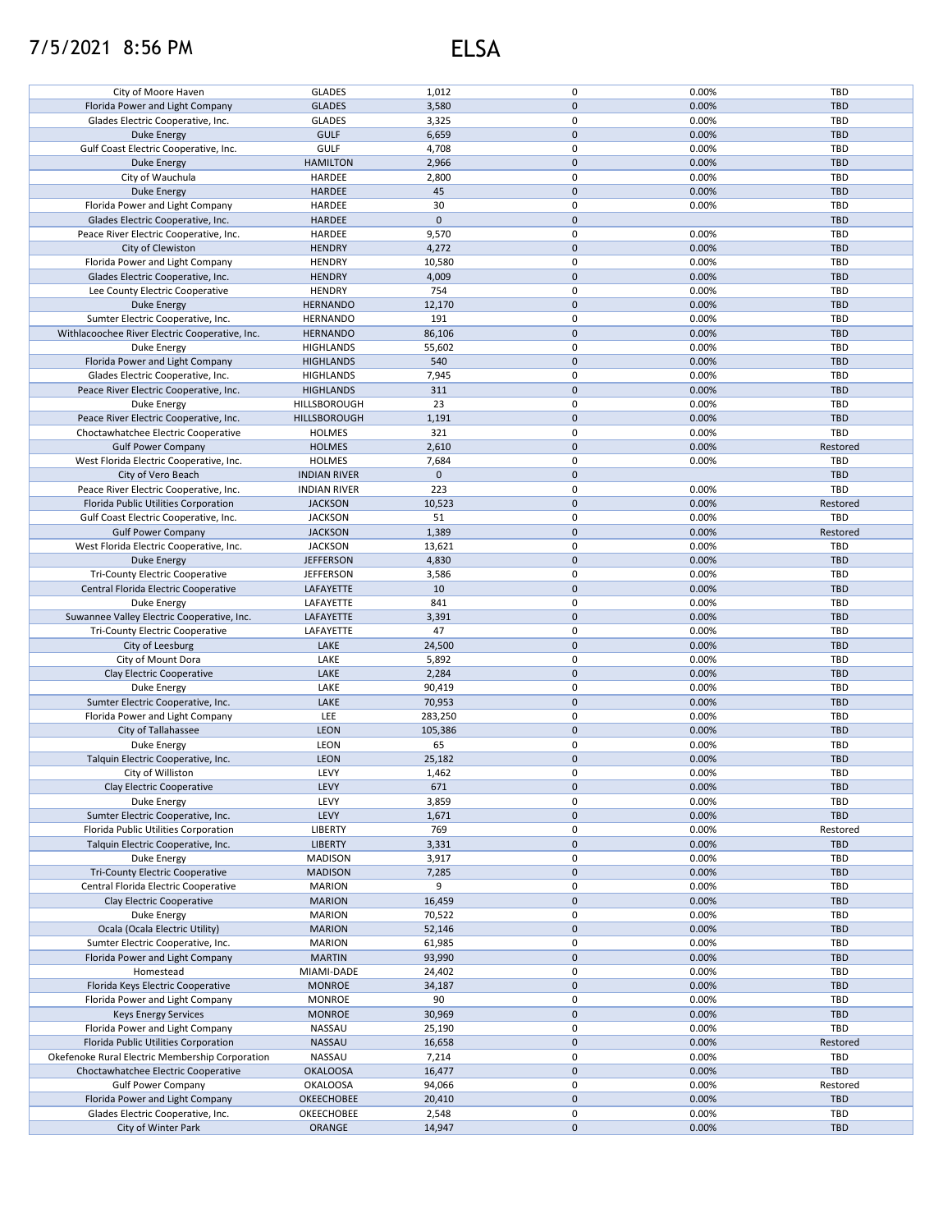## 7/5/2021 8:56 PM ELSA

| City of Moore Haven                             | <b>GLADES</b>       | 1,012        | 0                   | 0.00% | TBD        |
|-------------------------------------------------|---------------------|--------------|---------------------|-------|------------|
| Florida Power and Light Company                 | <b>GLADES</b>       | 3,580        | $\mathbf 0$         | 0.00% | <b>TBD</b> |
| Glades Electric Cooperative, Inc.               | <b>GLADES</b>       | 3,325        | 0                   | 0.00% | TBD        |
|                                                 |                     |              |                     |       |            |
| <b>Duke Energy</b>                              | <b>GULF</b>         | 6,659        | $\mathbf 0$         | 0.00% | <b>TBD</b> |
| Gulf Coast Electric Cooperative, Inc.           | <b>GULF</b>         | 4,708        | 0                   | 0.00% | TBD        |
| <b>Duke Energy</b>                              | <b>HAMILTON</b>     | 2,966        | $\pmb{0}$           | 0.00% | <b>TBD</b> |
| City of Wauchula                                | HARDEE              | 2,800        | 0                   | 0.00% | <b>TBD</b> |
|                                                 |                     |              |                     |       |            |
| <b>Duke Energy</b>                              | HARDEE              | 45           | $\pmb{0}$           | 0.00% | <b>TBD</b> |
| Florida Power and Light Company                 | HARDEE              | 30           | $\mathbf 0$         | 0.00% | TBD        |
| Glades Electric Cooperative, Inc.               | HARDEE              | $\mathbf{0}$ | $\mathbf{0}$        |       | <b>TBD</b> |
| Peace River Electric Cooperative, Inc.          | HARDEE              |              | 0                   |       | TBD        |
|                                                 |                     | 9,570        |                     | 0.00% |            |
| City of Clewiston                               | <b>HENDRY</b>       | 4,272        | $\pmb{0}$           | 0.00% | <b>TBD</b> |
| Florida Power and Light Company                 | <b>HENDRY</b>       | 10,580       | $\mathbf 0$         | 0.00% | TBD        |
| Glades Electric Cooperative, Inc.               | <b>HENDRY</b>       | 4,009        | $\pmb{0}$           | 0.00% | TBD        |
|                                                 |                     |              |                     |       |            |
| Lee County Electric Cooperative                 | <b>HENDRY</b>       | 754          | 0                   | 0.00% | TBD        |
| <b>Duke Energy</b>                              | <b>HERNANDO</b>     | 12,170       | $\pmb{0}$           | 0.00% | <b>TBD</b> |
| Sumter Electric Cooperative, Inc.               | <b>HERNANDO</b>     | 191          | 0                   | 0.00% | TBD        |
| Withlacoochee River Electric Cooperative, Inc.  | <b>HERNANDO</b>     | 86,106       | $\pmb{0}$           | 0.00% | <b>TBD</b> |
|                                                 |                     |              |                     |       |            |
| Duke Energy                                     | <b>HIGHLANDS</b>    | 55,602       | $\mathbf 0$         | 0.00% | TBD        |
| Florida Power and Light Company                 | <b>HIGHLANDS</b>    | 540          | $\pmb{0}$           | 0.00% | <b>TBD</b> |
| Glades Electric Cooperative, Inc.               | <b>HIGHLANDS</b>    | 7,945        | 0                   | 0.00% | TBD        |
|                                                 |                     |              |                     |       |            |
| Peace River Electric Cooperative, Inc.          | <b>HIGHLANDS</b>    | 311          | $\pmb{0}$           | 0.00% | <b>TBD</b> |
| Duke Energy                                     | HILLSBOROUGH        | 23           | 0                   | 0.00% | TBD        |
| Peace River Electric Cooperative, Inc.          | HILLSBOROUGH        | 1,191        | $\pmb{0}$           | 0.00% | <b>TBD</b> |
|                                                 |                     |              |                     |       |            |
| Choctawhatchee Electric Cooperative             | <b>HOLMES</b>       | 321          | 0                   | 0.00% | TBD        |
| <b>Gulf Power Company</b>                       | <b>HOLMES</b>       | 2,610        | $\mathbf 0$         | 0.00% | Restored   |
| West Florida Electric Cooperative, Inc.         | <b>HOLMES</b>       | 7,684        | 0                   | 0.00% | <b>TBD</b> |
|                                                 |                     | $\mathbf 0$  | $\mathbf 0$         |       | <b>TBD</b> |
| City of Vero Beach                              | <b>INDIAN RIVER</b> |              |                     |       |            |
| Peace River Electric Cooperative, Inc.          | <b>INDIAN RIVER</b> | 223          | 0                   | 0.00% | TBD        |
| Florida Public Utilities Corporation            | <b>JACKSON</b>      | 10,523       | $\mathbf 0$         | 0.00% | Restored   |
| Gulf Coast Electric Cooperative, Inc.           | <b>JACKSON</b>      | 51           | $\pmb{0}$           | 0.00% | TBD        |
|                                                 |                     |              |                     |       |            |
| <b>Gulf Power Company</b>                       | <b>JACKSON</b>      | 1,389        | $\pmb{0}$           | 0.00% | Restored   |
| West Florida Electric Cooperative, Inc.         | <b>JACKSON</b>      | 13,621       | $\pmb{0}$           | 0.00% | <b>TBD</b> |
| <b>Duke Energy</b>                              | <b>JEFFERSON</b>    | 4,830        | $\pmb{0}$           | 0.00% | <b>TBD</b> |
|                                                 |                     |              | $\pmb{0}$           | 0.00% | TBD        |
| <b>Tri-County Electric Cooperative</b>          | <b>JEFFERSON</b>    | 3,586        |                     |       |            |
| Central Florida Electric Cooperative            | LAFAYETTE           | 10           | $\pmb{0}$           | 0.00% | <b>TBD</b> |
| Duke Energy                                     | LAFAYETTE           | 841          | $\pmb{0}$           | 0.00% | TBD        |
| Suwannee Valley Electric Cooperative, Inc.      | LAFAYETTE           | 3,391        | $\pmb{0}$           | 0.00% | <b>TBD</b> |
|                                                 |                     |              | $\mathbf 0$         |       |            |
| Tri-County Electric Cooperative                 | LAFAYETTE           | 47           |                     | 0.00% | TBD        |
| City of Leesburg                                | LAKE                | 24,500       | $\pmb{0}$           | 0.00% | <b>TBD</b> |
| City of Mount Dora                              | LAKE                | 5,892        | 0                   | 0.00% | TBD        |
| Clay Electric Cooperative                       | LAKE                | 2,284        | $\mathbf{0}$        | 0.00% | <b>TBD</b> |
|                                                 |                     |              |                     |       |            |
| Duke Energy                                     | LAKE                | 90,419       | 0                   | 0.00% | TBD        |
| Sumter Electric Cooperative, Inc.               | LAKE                | 70,953       | $\pmb{0}$           | 0.00% | <b>TBD</b> |
| Florida Power and Light Company                 | LEE                 | 283,250      | 0                   | 0.00% | TBD        |
|                                                 |                     |              |                     |       |            |
| City of Tallahassee                             | <b>LEON</b>         | 105,386      | $\pmb{0}$           | 0.00% | <b>TBD</b> |
| Duke Energy                                     | LEON                | 65           | 0                   | 0.00% | <b>TBD</b> |
| Talquin Electric Cooperative, Inc.              | <b>LEON</b>         | 25,182       | $\pmb{0}$           | 0.00% | <b>TBD</b> |
| City of Williston                               | LEVY                |              | $\mathbf 0$         |       |            |
|                                                 |                     | 1,462        |                     | 0.00% | TBD        |
| Clay Electric Cooperative                       | LEVY                | 671          | $\pmb{0}$           | 0.00% | <b>TBD</b> |
| Duke Energy                                     | LEVY                | 3,859        | 0                   | 0.00% | TBD        |
| Sumter Electric Cooperative, Inc.               | LEVY                | 1,671        | $\mathbf 0$         | 0.00% | TBD        |
|                                                 |                     |              |                     |       |            |
| Florida Public Utilities Corporation            | <b>LIBERTY</b>      | 769          | 0                   | 0.00% | Restored   |
| Talquin Electric Cooperative, Inc.              | <b>LIBERTY</b>      | 3,331        | $\mathbf 0$         | 0.00% | <b>TBD</b> |
| Duke Energy                                     | <b>MADISON</b>      | 3,917        | 0                   | 0.00% | TBD        |
| <b>Tri-County Electric Cooperative</b>          | <b>MADISON</b>      | 7,285        | $\pmb{0}$           | 0.00% | <b>TBD</b> |
|                                                 |                     |              |                     |       |            |
| Central Florida Electric Cooperative            | <b>MARION</b>       | 9            | 0                   | 0.00% | TBD        |
| Clay Electric Cooperative                       | <b>MARION</b>       | 16,459       | $\pmb{0}$           | 0.00% | <b>TBD</b> |
| Duke Energy                                     | <b>MARION</b>       | 70,522       | $\pmb{0}$           | 0.00% | <b>TBD</b> |
|                                                 |                     |              | $\pmb{0}$           |       | <b>TBD</b> |
| Ocala (Ocala Electric Utility)                  | <b>MARION</b>       | 52,146       |                     | 0.00% |            |
| Sumter Electric Cooperative, Inc.               | <b>MARION</b>       | 61,985       | 0                   | 0.00% | TBD        |
| Florida Power and Light Company                 | <b>MARTIN</b>       | 93,990       | $\pmb{0}$           | 0.00% | <b>TBD</b> |
| Homestead                                       | MIAMI-DADE          | 24,402       | 0                   | 0.00% | TBD        |
|                                                 |                     |              |                     |       |            |
| Florida Keys Electric Cooperative               | <b>MONROE</b>       | 34,187       | $\pmb{0}$           | 0.00% | TBD        |
| Florida Power and Light Company                 | <b>MONROE</b>       | 90           | 0                   | 0.00% | TBD        |
| <b>Keys Energy Services</b>                     | <b>MONROE</b>       | 30,969       | $\pmb{0}$           | 0.00% | <b>TBD</b> |
|                                                 |                     |              | 0                   |       | TBD        |
| Florida Power and Light Company                 | NASSAU              | 25,190       |                     | 0.00% |            |
| Florida Public Utilities Corporation            | NASSAU              | 16,658       | $\pmb{0}$           | 0.00% | Restored   |
| Okefenoke Rural Electric Membership Corporation | NASSAU              | 7,214        | 0                   | 0.00% | <b>TBD</b> |
| Choctawhatchee Electric Cooperative             | <b>OKALOOSA</b>     | 16,477       | $\pmb{0}$           | 0.00% | TBD        |
|                                                 |                     |              |                     |       |            |
| <b>Gulf Power Company</b>                       | <b>OKALOOSA</b>     | 94,066       | 0                   | 0.00% | Restored   |
| Florida Power and Light Company                 | OKEECHOBEE          | 20,410       | $\pmb{0}$           | 0.00% | <b>TBD</b> |
| Glades Electric Cooperative, Inc.               | OKEECHOBEE          | 2,548        | 0                   | 0.00% | <b>TBD</b> |
|                                                 | ORANGE              | 14,947       | $\mathsf{O}\xspace$ | 0.00% | <b>TBD</b> |
| City of Winter Park                             |                     |              |                     |       |            |